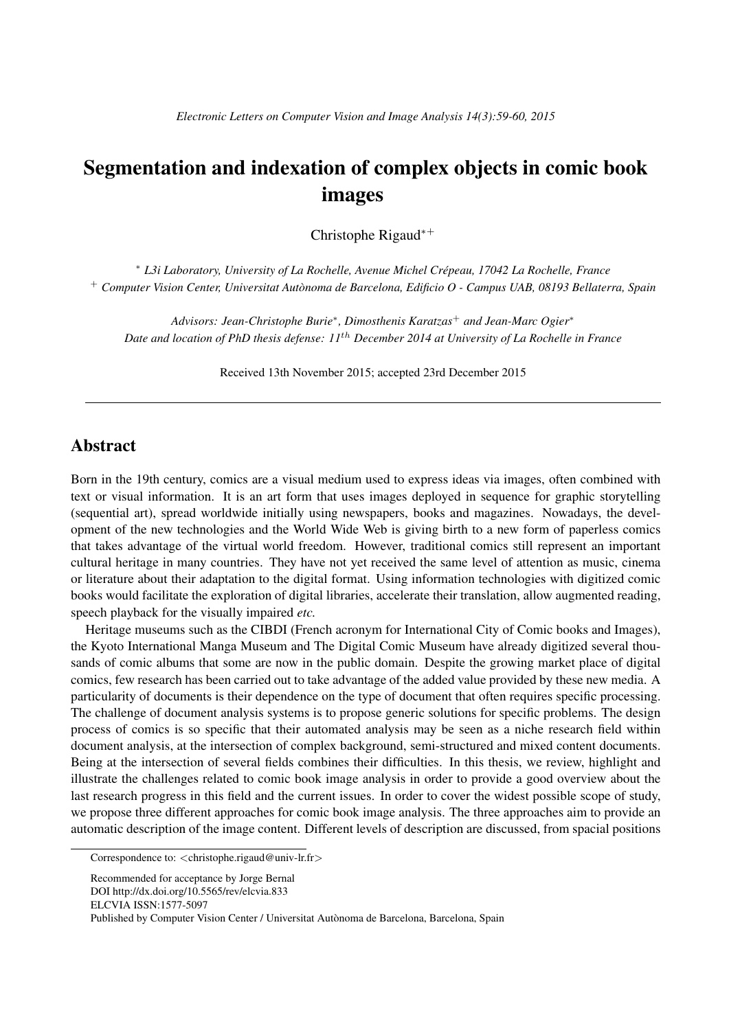## Segmentation and indexation of complex objects in comic book images

Christophe Rigaud*∗*<sup>+</sup>

*<sup>∗</sup> L3i Laboratory, University of La Rochelle, Avenue Michel Crepeau, 17042 La Rochelle, France ´* <sup>+</sup> *Computer Vision Center, Universitat Autonoma de Barcelona, Edificio O - Campus UAB, 08193 Bellaterra, Spain `*

*Advisors: Jean-Christophe Burie<sup>∗</sup> , Dimosthenis Karatzas*<sup>+</sup> *and Jean-Marc Ogier<sup>∗</sup> Date and location of PhD thesis defense: 11th December 2014 at University of La Rochelle in France*

Received 13th November 2015; accepted 23rd December 2015

## Abstract

Born in the 19th century, comics are a visual medium used to express ideas via images, often combined with text or visual information. It is an art form that uses images deployed in sequence for graphic storytelling (sequential art), spread worldwide initially using newspapers, books and magazines. Nowadays, the development of the new technologies and the World Wide Web is giving birth to a new form of paperless comics that takes advantage of the virtual world freedom. However, traditional comics still represent an important cultural heritage in many countries. They have not yet received the same level of attention as music, cinema or literature about their adaptation to the digital format. Using information technologies with digitized comic books would facilitate the exploration of digital libraries, accelerate their translation, allow augmented reading, speech playback for the visually impaired *etc.*

Heritage museums such as the CIBDI (French acronym for International City of Comic books and Images), the Kyoto International Manga Museum and The Digital Comic Museum have already digitized several thousands of comic albums that some are now in the public domain. Despite the growing market place of digital comics, few research has been carried out to take advantage of the added value provided by these new media. A particularity of documents is their dependence on the type of document that often requires specific processing. The challenge of document analysis systems is to propose generic solutions for specific problems. The design process of comics is so specific that their automated analysis may be seen as a niche research field within document analysis, at the intersection of complex background, semi-structured and mixed content documents. Being at the intersection of several fields combines their difficulties. In this thesis, we review, highlight and illustrate the challenges related to comic book image analysis in order to provide a good overview about the last research progress in this field and the current issues. In order to cover the widest possible scope of study, we propose three different approaches for comic book image analysis. The three approaches aim to provide an automatic description of the image content. Different levels of description are discussed, from spacial positions

Correspondence to: *<*christophe.rigaud@univ-lr.fr*>*

Recommended for acceptance by Jorge Bernal DOI http://dx.doi.org/10.5565/rev/elcvia.833 ELCVIA ISSN:1577-5097

Published by Computer Vision Center / Universitat Autonoma de Barcelona, Barcelona, Spain `